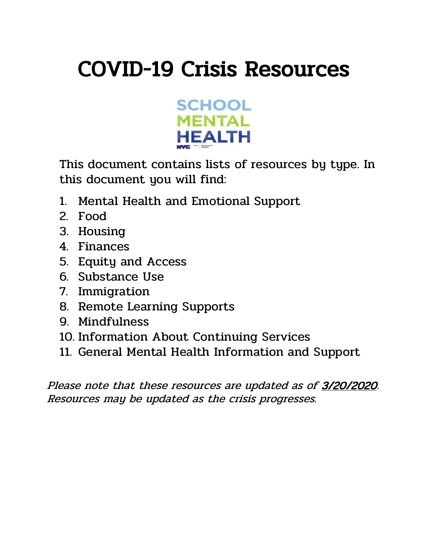# COVID-19 Crisis Resources



This document contains lists of resources by type. In this document you will find:

- 1. Mental Health and Emotional Support
- 2. Food
- 3. Housing
- 4. Finances
- 5. Equity and Access
- 6. Substance Use
- 7. Immigration
- 8. Remote Learning Supports
- 9. Mindfulness
- 10. Information About Continuing Services
- 11. General Mental Health Information and Support

Please note that these resources are updated as of 3/20/2020. Resources may be updated as the crisis progresses.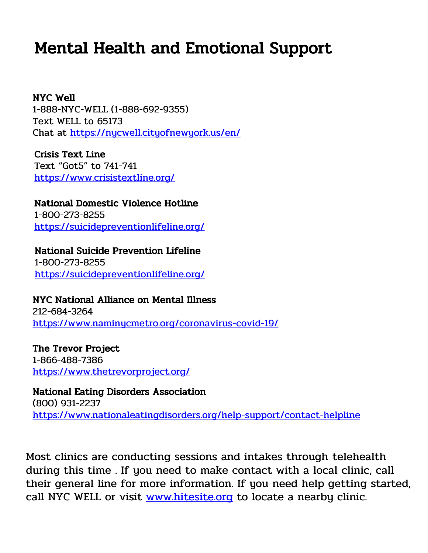## Mental Health and Emotional Support

NYC Well 1-888-NYC-WELL (1-888-692-9355) Text WELL to 65173 Chat at<https://nycwell.cityofnewyork.us/en/>

Crisis Text Line Text "Got5" to 741-741 <https://www.crisistextline.org/>

National Domestic Violence Hotline 1-800-273-8255 <https://suicidepreventionlifeline.org/>

## National Suicide Prevention Lifeline

1-800-273-8255 <https://suicidepreventionlifeline.org/>

### NYC National Alliance on Mental Illness

212-684-3264 http[s://www.naminycmetro.org/coronavirus-covid-19/](https://www.naminycmetro.org/coronavirus-covid-19/)

The Trevor Project 1-866-488-7386 <https://www.thetrevorproject.org/>

National Eating Disorders Association (800) 931-2237 <https://www.nationaleatingdisorders.org/help-support/contact-helpline>

Most clinics are conducting sessions and intakes through telehealth during this time . If you need to make contact with a local clinic, call their general line for more information. If you need help getting started, call NYC WELL or visit [www.hitesite.org](https://www.hitesite.org/) to locate a nearby clinic.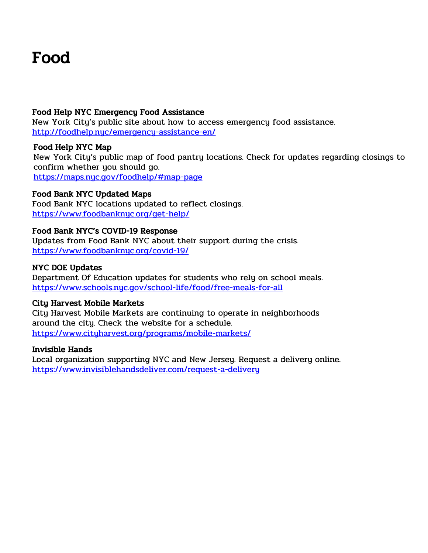## Food

#### Food Help NYC Emergency Food Assistance

New York City's public site about how to access emergency food assistance. <http://foodhelp.nyc/emergency-assistance-en/>

#### Food Help NYC Map

New York City's public map of food pantry locations. Check for updates regarding closings to confirm whether you should go. <https://maps.nyc.gov/foodhelp/#map-page>

### Food Bank NYC Updated Maps

Food Bank NYC locations updated to reflect closings. <https://www.foodbanknyc.org/get-help/>

#### Food Bank NYC's COVID-19 Response

Updates from Food Bank NYC about their support during the crisis. <https://www.foodbanknyc.org/covid-19/>

#### NYC DOE Updates

Department Of Education updates for students who rely on school meals. <https://www.schools.nyc.gov/school-life/food/free-meals-for-all>

#### City Harvest Mobile Markets

City Harvest Mobile Markets are continuing to operate in neighborhoods around the city. Check the website for a schedule. <https://www.cityharvest.org/programs/mobile-markets/>

#### Invisible Hands

Local organization supporting NYC and New Jersey. Request a delivery online. <https://www.invisiblehandsdeliver.com/request-a-delivery>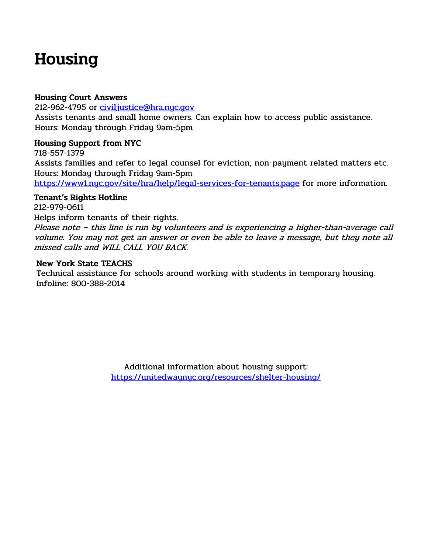## Housing

#### Housing Court Answers

212-962-4795 or [civiljustice@hra.nyc.gov](mailto:civiljustice@hra.nyc.gov)

Assists tenants and small home owners. Can explain how to access public assistance. Hours: Monday through Friday 9am-5pm

### Housing Support from NYC

718-557-1379

Assists families and refer to legal counsel for eviction, non-payment related matters etc. Hours: Monday through Friday 9am-5pm

<https://www1.nyc.gov/site/hra/help/legal-services-for-tenants.page> for more information.

### Tenant's Rights Hotline

212-979-0611

Helps inform tenants of their rights.

Please note – this line is run by volunteers and is experiencing a higher-than-average call volume. You may not get an answer or even be able to leave a message, but they note all missed calls and WILL CALL YOU BACK.

### New York State TEACHS

Technical assistance for schools around working with students in temporary housing. Infoline: 800-388-2014

> Additional information about housing support: <https://unitedwaynyc.org/resources/shelter-housing/>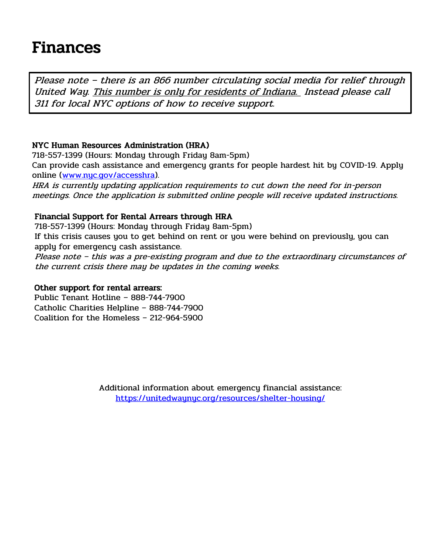## Finances

Please note – there is an 866 number circulating social media for relief through United Way. This number is only for residents of Indiana. Instead please call 311 for local NYC options of how to receive support.

### NYC Human Resources Administration (HRA)

718-557-1399 (Hours: Monday through Friday 8am-5pm) Can provide cash assistance and emergency grants for people hardest hit by COVID-19. Apply online [\(www.nyc.gov/accesshra\)](http://www.nyc.gov/accesshra).

HRA is currently updating application requirements to cut down the need for in-person meetings. Once the application is submitted online people will receive updated instructions.

#### Financial Support for Rental Arrears through HRA

718-557-1399 (Hours: Monday through Friday 8am-5pm)

If this crisis causes you to get behind on rent or you were behind on previously, you can apply for emergency cash assistance.

Please note – this was a pre-existing program and due to the extraordinary circumstances of the current crisis there may be updates in the coming weeks.

#### Other support for rental arrears:

Public Tenant Hotline – 888-744-7900 Catholic Charities Helpline – 888-744-7900 Coalition for the Homeless – 212-964-5900

> Additional information about emergency financial assistance: <https://unitedwaynyc.org/resources/shelter-housing/>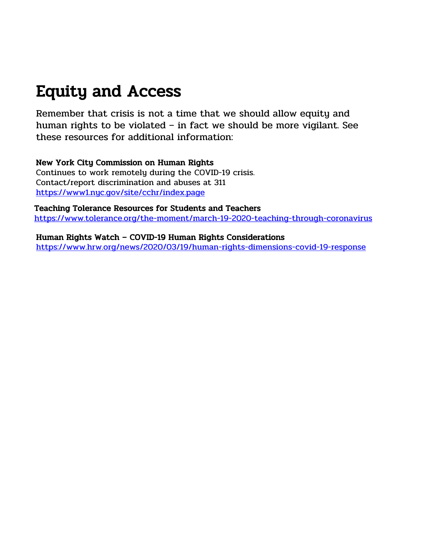## Equity and Access

Remember that crisis is not a time that we should allow equity and human rights to be violated – in fact we should be more vigilant. See these resources for additional information:

### New York City Commission on Human Rights

Continues to work remotely during the COVID-19 crisis. Contact/report discrimination and abuses at 311 <https://www1.nyc.gov/site/cchr/index.page>

Teaching Tolerance Resources for Students and Teachers <https://www.tolerance.org/the-moment/march-19-2020-teaching-through-coronavirus>

Human Rights Watch – COVID-19 Human Rights Considerations <https://www.hrw.org/news/2020/03/19/human-rights-dimensions-covid-19-response>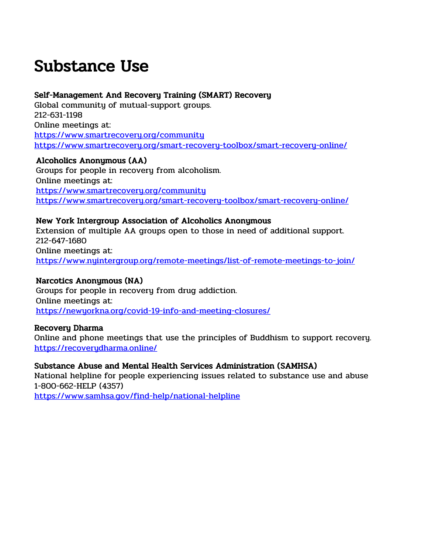## Substance Use

### Self-Management And Recovery Training (SMART) Recovery

Global community of mutual-support groups. 212-631-1198 Online meetings at: <https://www.smartrecovery.org/community> <https://www.smartrecovery.org/smart-recovery-toolbox/smart-recovery-online/>

Alcoholics Anonymous (AA) Groups for people in recovery from alcoholism. Online meetings at: <https://www.smartrecovery.org/community> <https://www.smartrecovery.org/smart-recovery-toolbox/smart-recovery-online/>

#### New York Intergroup Association of Alcoholics Anonymous

Extension of multiple AA groups open to those in need of additional support. 212-647-1680 Online meetings at: <https://www.nyintergroup.org/remote-meetings/list-of-remote-meetings-to-join/>

#### Narcotics Anonymous (NA)

Groups for people in recovery from drug addiction. Online meetings at: <https://newyorkna.org/covid-19-info-and-meeting-closures/>

#### Recovery Dharma

Online and phone meetings that use the principles of Buddhism to support recovery. <https://recoverydharma.online/>

## Substance Abuse and Mental Health Services Administration (SAMHSA)

National helpline for people experiencing issues related to substance use and abuse 1-800-662-HELP (4357)

<https://www.samhsa.gov/find-help/national-helpline>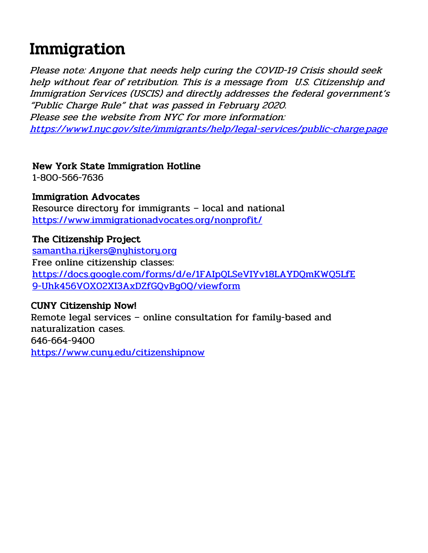## Immigration

Please note: Anyone that needs help curing the COVID-19 Crisis should seek help without fear of retribution. This is a message from U.S. Citizenship and Immigration Services (USCIS) and directly addresses the federal government's "Public Charge Rule" that was passed in February 2020. Please see the website from NYC for more information: <https://www1.nyc.gov/site/immigrants/help/legal-services/public-charge.page>

## New York State Immigration Hotline

1-800-566-7636

## Immigration Advocates

Resource directory for immigrants – local and national <https://www.immigrationadvocates.org/nonprofit/>

## The Citizenship Project

[samantha.rijkers@nyhistory.org](mailto:samantha.rijkers@nyhistory.org) Free online citizenship classes: [https://docs.google.com/forms/d/e/1FAIpQLSeVIYv18LAYDQmKWQ5LfE](https://docs.google.com/forms/d/e/1FAIpQLSeVIYv18LAYDQmKWQ5LfE9-Uhk456VOX02XI3AxDZfGQvBg0Q/viewform) [9-Uhk456VOX02XI3AxDZfGQvBg0Q/viewform](https://docs.google.com/forms/d/e/1FAIpQLSeVIYv18LAYDQmKWQ5LfE9-Uhk456VOX02XI3AxDZfGQvBg0Q/viewform)

## CUNY Citizenship Now!

Remote legal services – online consultation for family-based and naturalization cases. 646-664-9400 <https://www.cuny.edu/citizenshipnow>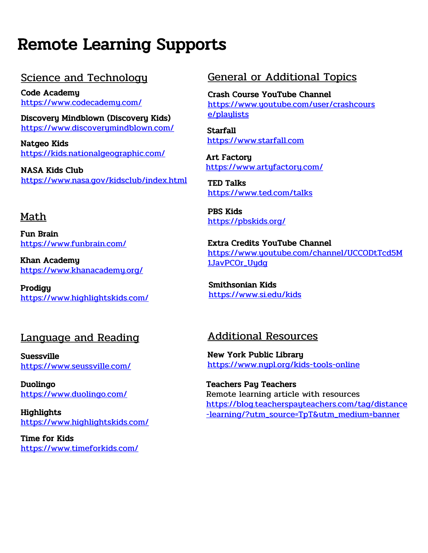## Remote Learning Supports

## Science and Technology

Code Academy <https://www.codecademy.com/>

Discovery Mindblown (Discovery Kids) <https://www.discoverymindblown.com/>

Natgeo Kids <https://kids.nationalgeographic.com/>

NASA Kids Club <https://www.nasa.gov/kidsclub/index.html>

## Math

Fun Brain <https://www.funbrain.com/>

Khan Academy <https://www.khanacademy.org/>

Prodigy <https://www.highlightskids.com/>

## Language and Reading

Suessville <https://www.seussville.com/>

Duolingo <https://www.duolingo.com/>

Highlights <https://www.highlightskids.com/>

Time for Kids <https://www.timeforkids.com/>

## General or Additional Topics

Crash Course YouTube Channel [https://www.youtube.com/user/crashcours](https://www.youtube.com/user/crashcourse/playlists) [e/playlists](https://www.youtube.com/user/crashcourse/playlists)

**Starfall** [https://www.starfall.com](https://www.starfall.com/)

Art Factory <https://www.artyfactory.com/>

TED Talks <https://www.ted.com/talks>

PBS Kids <https://pbskids.org/>

Extra Credits YouTube Channel [https://www.youtube.com/channel/UCCODtTcd5M](https://www.youtube.com/channel/UCCODtTcd5M1JavPCOr_Uydg) [1JavPCOr\\_Uydg](https://www.youtube.com/channel/UCCODtTcd5M1JavPCOr_Uydg)

Smithsonian Kids <https://www.si.edu/kids>

## Additional Resources

New York Public Library <https://www.nypl.org/kids-tools-online>

Teachers Pay Teachers Remote learning article with resources [https://blog.teacherspayteachers.com/tag/distance](https://blog.teacherspayteachers.com/tag/distance-learning/?utm_source=TpT&utm_medium=banner) [-learning/?utm\\_source=TpT&utm\\_medium=banner](https://blog.teacherspayteachers.com/tag/distance-learning/?utm_source=TpT&utm_medium=banner)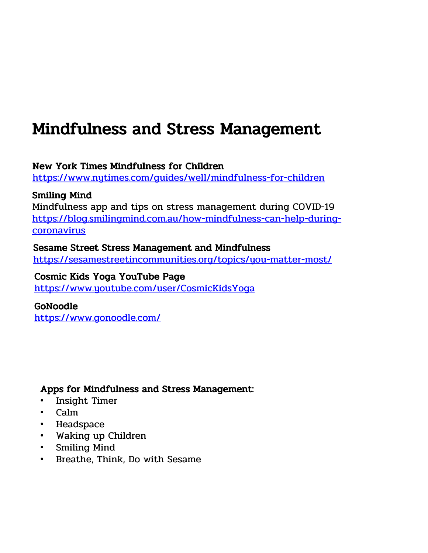## Mindfulness and Stress Management

New York Times Mindfulness for Children

<https://www.nytimes.com/guides/well/mindfulness-for-children>

## Smiling Mind

Mindfulness app and tips on stress management during COVID-19 [https://blog.smilingmind.com.au/how-mindfulness-can-help-during](https://blog.smilingmind.com.au/how-mindfulness-can-help-during-coronavirus)[coronavirus](https://blog.smilingmind.com.au/how-mindfulness-can-help-during-coronavirus)

## Sesame Street Stress Management and Mindfulness

<https://sesamestreetincommunities.org/topics/you-matter-most/>

## Cosmic Kids Yoga YouTube Page

<https://www.youtube.com/user/CosmicKidsYoga>

## GoNoodle

<https://www.gonoodle.com/>

## Apps for Mindfulness and Stress Management:

- Insight Timer
- Calm
- Headspace
- Waking up Children
- Smiling Mind
- Breathe, Think, Do with Sesame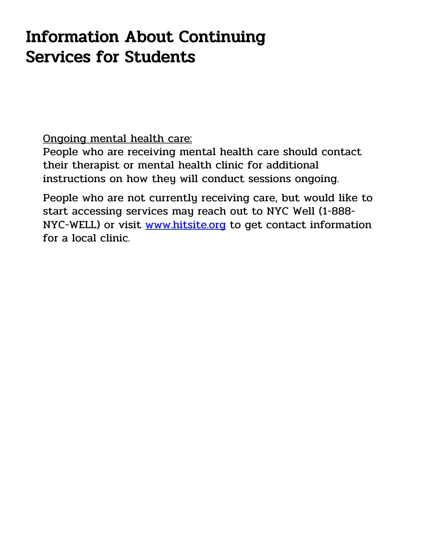## Information About Continuing Services for Students

Ongoing mental health care:

People who are receiving mental health care should contact their therapist or mental health clinic for additional instructions on how they will conduct sessions ongoing.

People who are not currently receiving care, but would like to start accessing services may reach out to NYC Well (1-888 NYC-WELL) or visit [www.hitsite.org](http://www.hitsite.org/) to get contact information for a local clinic.